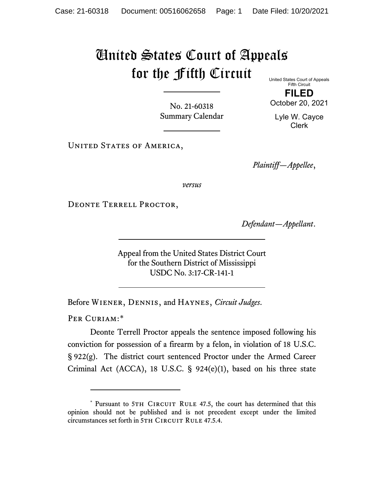## United States Court of Appeals for the Fifth Circuit

No. 21-60318 Summary Calendar United States Court of Appeals Fifth Circuit

**FILED** October 20, 2021

Lyle W. Cayce Clerk

UNITED STATES OF AMERICA,

*Plaintiff—Appellee*,

*versus*

DEONTE TERRELL PROCTOR,

*Defendant—Appellant*.

Appeal from the United States District Court for the Southern District of Mississippi USDC No. 3:17-CR-141-1

Before Wiener, Dennis, and Haynes, *Circuit Judges*.

PER CURIAM:[\\*](#page-0-0)

Deonte Terrell Proctor appeals the sentence imposed following his conviction for possession of a firearm by a felon, in violation of 18 U.S.C. § 922(g). The district court sentenced Proctor under the Armed Career Criminal Act (ACCA), 18 U.S.C. § 924(e)(1), based on his three state

<span id="page-0-0"></span><sup>\*</sup> Pursuant to 5TH CIRCUIT RULE 47.5, the court has determined that this opinion should not be published and is not precedent except under the limited circumstances set forth in 5TH CIRCUIT RULE 47.5.4.